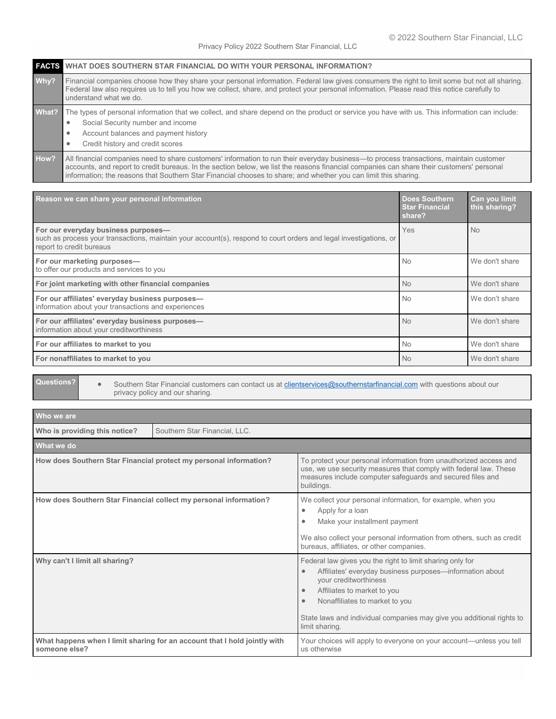|       | <b>FAGES</b> WHAT DOES SOUTHERN STAR FINANCIAL DO WITH YOUR PERSONAL INFORMATION?                                                                                                                                                                                                                                                                                                                      |  |
|-------|--------------------------------------------------------------------------------------------------------------------------------------------------------------------------------------------------------------------------------------------------------------------------------------------------------------------------------------------------------------------------------------------------------|--|
| Why?  | Financial companies choose how they share your personal information. Federal law gives consumers the right to limit some but not all sharing.<br>Federal law also requires us to tell you how we collect, share, and protect your personal information. Please read this notice carefully to<br>understand what we do.                                                                                 |  |
| What? | The types of personal information that we collect, and share depend on the product or service you have with us. This information can include:<br>Social Security number and income<br>$\bullet$<br>Account balances and payment history<br>٠<br>Credit history and credit scores                                                                                                                       |  |
| How?  | All financial companies need to share customers' information to run their everyday business—to process transactions, maintain customer<br>accounts, and report to credit bureaus. In the section below, we list the reasons financial companies can share their customers' personal<br>information; the reasons that Southern Star Financial chooses to share; and whether you can limit this sharing. |  |

| Reason we can share your personal information                                                                                                                                        | <b>Does Southern</b><br><b>Star Financial</b><br>share? | Can you limit<br>this sharing? |
|--------------------------------------------------------------------------------------------------------------------------------------------------------------------------------------|---------------------------------------------------------|--------------------------------|
| For our everyday business purposes-<br>such as process your transactions, maintain your account(s), respond to court orders and legal investigations, or<br>report to credit bureaus | Yes                                                     | <b>No</b>                      |
| For our marketing purposes-<br>to offer our products and services to you                                                                                                             | <b>No</b>                                               | We don't share                 |
| For joint marketing with other financial companies                                                                                                                                   | <b>No</b>                                               | We don't share                 |
| For our affiliates' everyday business purposes-<br>information about your transactions and experiences                                                                               | <b>No</b>                                               | We don't share                 |
| For our affiliates' everyday business purposes-<br>information about your creditworthiness                                                                                           | <b>No</b>                                               | We don't share                 |
| For our affiliates to market to you                                                                                                                                                  | <b>No</b>                                               | We don't share                 |
| For nonaffiliates to market to you                                                                                                                                                   | <b>No</b>                                               | We don't share                 |

**Questions?** • Southern Star Financial customers can contact us at **clientservices@southernstarfinancial.com** with questions about our privacy policy and our sharing.

| Who we are                                                        |                                                                           |                                                                                                                                                                                                                                                                                                                           |  |  |
|-------------------------------------------------------------------|---------------------------------------------------------------------------|---------------------------------------------------------------------------------------------------------------------------------------------------------------------------------------------------------------------------------------------------------------------------------------------------------------------------|--|--|
| Who is providing this notice?                                     | Southern Star Financial, LLC.                                             |                                                                                                                                                                                                                                                                                                                           |  |  |
| What we do                                                        |                                                                           |                                                                                                                                                                                                                                                                                                                           |  |  |
| How does Southern Star Financial protect my personal information? |                                                                           | To protect your personal information from unauthorized access and<br>use, we use security measures that comply with federal law. These<br>measures include computer safequards and secured files and<br>buildings.                                                                                                        |  |  |
|                                                                   | How does Southern Star Financial collect my personal information?         | We collect your personal information, for example, when you<br>Apply for a loan<br>٠<br>Make your installment payment<br>٠<br>We also collect your personal information from others, such as credit<br>bureaus, affiliates, or other companies.                                                                           |  |  |
| Why can't I limit all sharing?                                    |                                                                           | Federal law gives you the right to limit sharing only for<br>Affiliates' everyday business purposes-information about<br>٠<br>your creditworthiness<br>Affiliates to market to you<br>٠<br>Nonaffiliates to market to you<br>٠<br>State laws and individual companies may give you additional rights to<br>limit sharing. |  |  |
| someone else?                                                     | What happens when I limit sharing for an account that I hold jointly with | Your choices will apply to everyone on your account—unless you tell<br>us otherwise                                                                                                                                                                                                                                       |  |  |